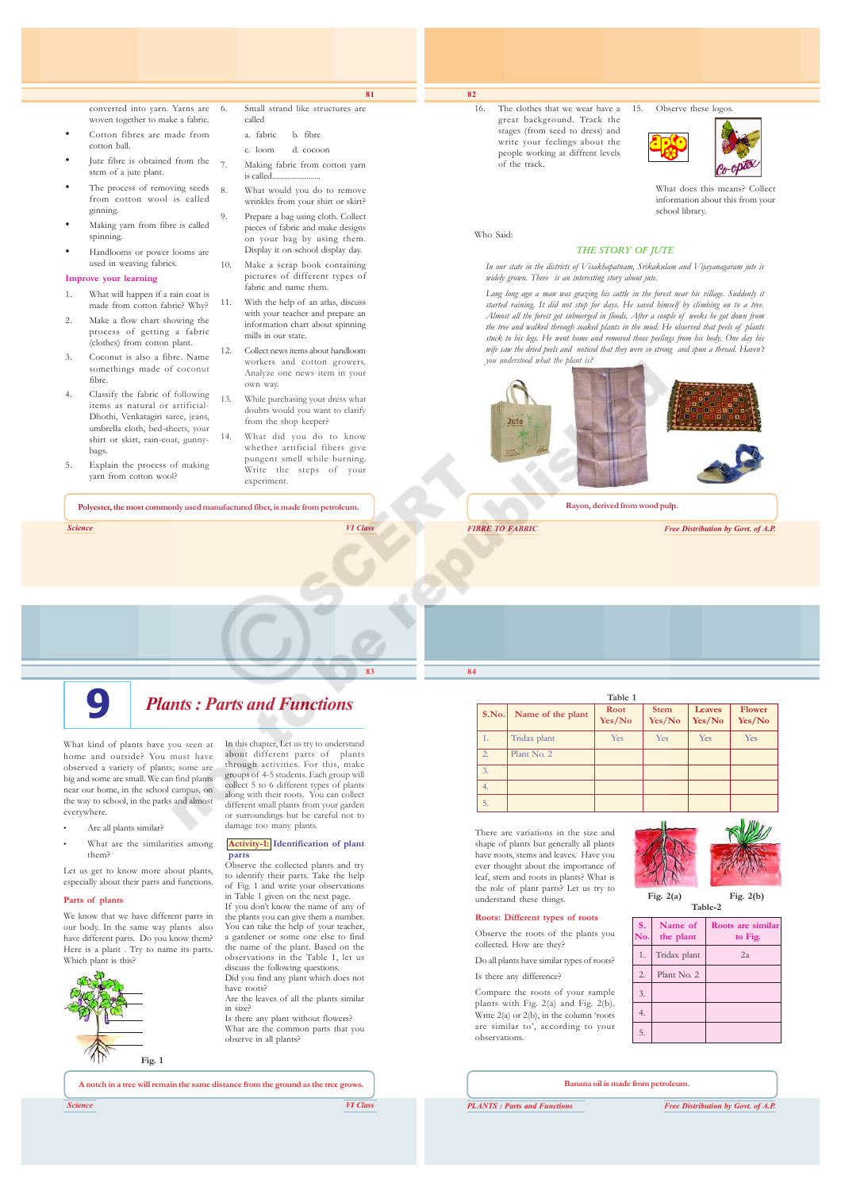converted into yarn. Yarns are woven together to make a fabric. Cotton fibres are made from cotton ball.

- Jute fibre is obtained from the stem of a jute plant.
- The process of removing seeds from cotton wool is called ginning.
- Making yarn from fibre is called spinning.
- Handlooms or power looms are used in weaving fabrics.

#### **Improve your learning**

- 1. What will happen if a rain coat is made from cotton fabric? Why?
- 2. Make a flow chart showing the process of getting a fabric (clothes) from cotton plant.
- 3. Coconut is also a fibre. Name somethings made of coconut fibre.
- 4. Classify the fabric of following items as natural or artificial-Dhothi, Venkatagiri saree, jeans, umbrella cloth, bed-sheets, your shirt or skirt, rain-coat, gunnybags.
- Explain the process of making yarn from cotton wool?

6. Small strand like structures are called a. fabric b. fibre c. loom d. cocoon

Making fabric from cotton yarn is called...

**81**

8. What would you do to remove wrinkles from your shirt or skirt?

- 9. Prepare a bag using cloth. Collect pieces of fabric and make designs on your bag by using them. Display it on school display day.
- 10. Make a scrap book containing pictures of different types of fabric and name them.
- 11. With the help of an atlas, discuss with your teacher and prepare an information chart about spinning mills in our state.
- 12. Collect news items about handloom workers and cotton growers. Analyze one news item in your own way.
- 13. While purchasing your dress what doubts would you want to clarify from the shop keeper?
- 14. What did you do to know whether artificial fibers give pungent smell while burning. Write the steps of your experiment.

**Polyester, the most commonly used manufactured fiber, is made from petroleum.**

*Science VI Class*

**9** *Plants : Parts and Functions*

What kind of plants have you seen at home and outside? You must have observed a variety of plants; some are big and some are small. We can find plants near our home, in the school campus, on the way to school, in the parks and almost everywhere.

- Are all plants similar?
- What are the similarities among them?

Let us get to know more about plants. especially about their parts and functions.

#### **Parts of plants**

We know that we have different parts in our body. In the same way plants also have different parts. Do you know them? Here is a plant. Try to name its parts. Which plant is this?



In this chapter, Let us try to understand about different parts of plants through activities. For this, make groups of 4-5 students. Each group will collect 5 to 6 different types of plants along with their roots. You can collect different small plants from your garden or surroundings but be careful not to damage too many plants.

#### **Activity-1: Identification of plant parts**

Observe the collected plants and try to identify their parts. Take the help of Fig. 1 and write your observations in Table 1 given on the next page. If you don't know the name of any of

the plants you can give them a number. You can take the help of your teacher, a gardener or some one else to find the name of the plant. Based on the observations in the Table 1, let us discuss the following question Did you find any plant which does not have roots?

Are the leaves of all the plants similar in size? Is there any plant without flowers?

What are the common parts that you observe in all plants?

**A notch in a tree will remain the same distance from the ground as the tree grows.**

*Science VI Class*

stages (from seed to dress) and write your feelings about the people working at diffrent levels of the track.

16. The clothes that we wear have a great background. Track the

15. Observe these logos



What does this means? Collect information about this from your school library.

Who Said:

**82**

#### *THE STORY OF JUTE*

*In our state in the districts of Visakhapatnam, Srikakulam and Vijayanagaram jute is widely grown. There is an interesting story about jute.*

*Long long ago a man was grazing his cattle in the forest near his village. Suddenly it started raining. It did not stop for days. He saved himself by climbing on to a tree. Almost all the forest got submerged in floods. After a couple of weeks he got down from the tree and walked through soaked plants in the mud. He observed that peels of plants stuck to his legs. He went home and removed those peelings from his body. One day his* wife saw the dried peels and noticed that they were so strong and spun a thread. Haven't *you understood what the plant is?*



**Rayon, derived from wood pulp.**

*FIBRE TO FABRIC Free Distribution by Govt. of A.P.*



**Yes/No Yes/No Yes/No Yes/No**

There are variations in the size and shape of plants but generally all plants have roots, stems and leaves. Have you ever thought about the importance of leaf, stem and roots in plants? What is the role of plant parts? Let us try to understand these things.

#### **Roots: Different types of roots**

Observe the roots of the plants you

collected. How are they? Do all plants have similar types of roots?

Is there any difference?

Compare the roots of your sample plants with Fig. 2(a) and Fig. 2(b). Write 2(a) or 2(b), in the column 'roots are similar to', according to your observations.



**Table-2**

| S.<br>No. | Name of<br>the plant | Roots are similar<br>to Fig. |
|-----------|----------------------|------------------------------|
| 1.        | Tridax plant         | 2a                           |
| 2.        | Plant No. 2          |                              |
| 3.        |                      |                              |
| 4.        |                      |                              |
| 5.        |                      |                              |

**Banana oil is made from petroleum.**

*PLANTS : Parts and Functions Free Distribution by Govt. of A.P.*



Tridax plant Yes Yes Yes Yes Yes

**Table 1**

**84 S.No.** Name of the plant  $\begin{array}{|c|c|c|c|c|c|c|c|c|} \hline \text{Root} & \text{Stem} & \text{Leaves} & \text{Flower} \\ \hline \text{Yes/No} & \text{Yes/No} & \text{Yes/No} & \text{Yes/No} & \text{Yes/No} \\\hline \end{array}$ 

> 3. 4. 5.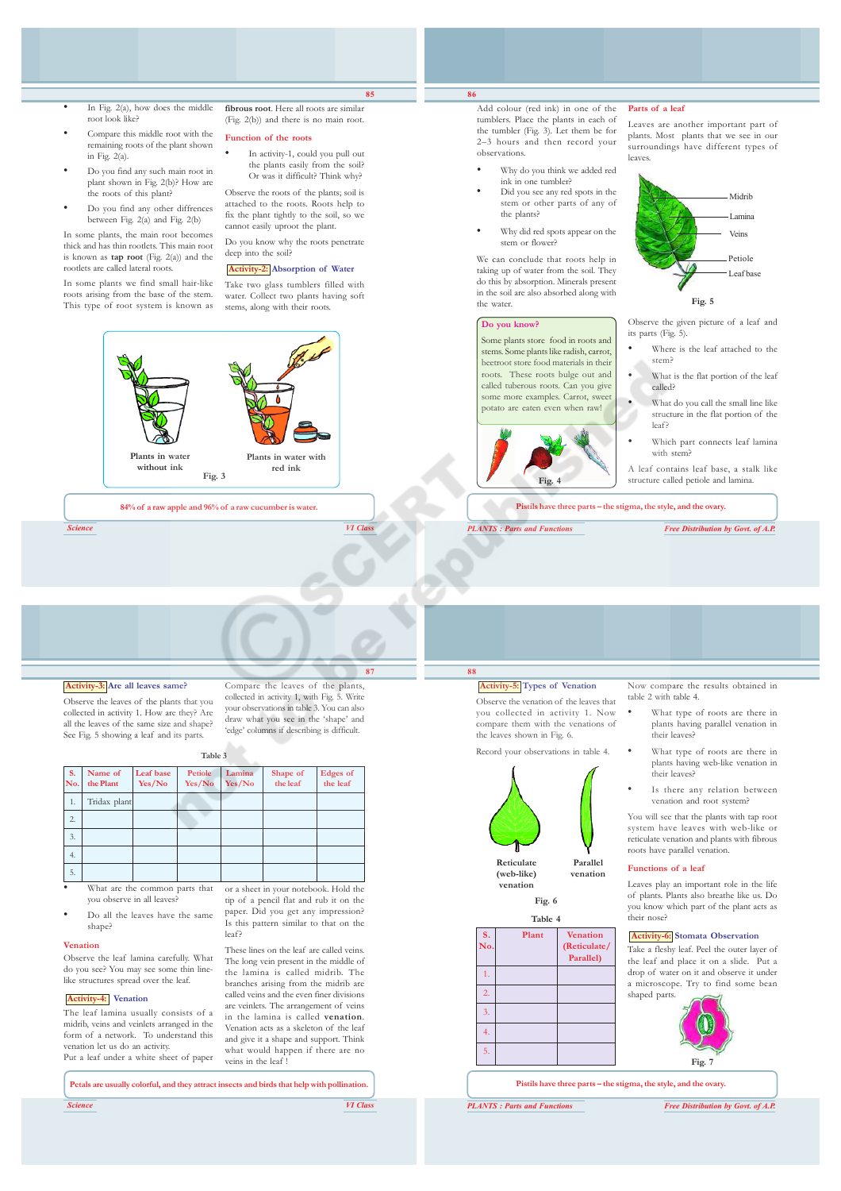- In Fig. 2(a), how does the middle root look like?
- Compare this middle root with the remaining roots of the plant shown in Fig.  $2(a)$ .
- Do you find any such main root in plant shown in Fig. 2(b)? How are the roots of this plant?
- Do you find any other diffrences between Fig. 2(a) and Fig. 2(b)

In some plants, the main root becomes thick and has thin rootlets. This main root is known as **tap root** (Fig. 2(a)) and the rootlets are called lateral roots.

In some plants we find small hair-like roots arising from the base of the stem. This type of root system is known as

**fibrous root**. Here all roots are similar (Fig. 2(b)) and there is no main root.

**85**

#### **Function of the roots**

• In activity-1, could you pull out the plants easily from the soil? Or was it difficult? Think why?

Observe the roots of the plants; soil is attached to the roots. Roots help to fix the plant tightly to the soil, so we cannot easily uproot the plant.

Do you know why the roots penetrate deep into the soil?

### **Activity-2: Absorption of Water**

Take two glass tumblers filled with water. Collect two plants having soft stems, along with their roots.



*Science VI Class*

#### **86** Add colour (red ink) in one of the

tumblers. Place the plants in each of the tumbler (Fig. 3). Let them be for 2–3 hours and then record your observations.

- Why do you think we added red ink in one tumbler?
- Did you see any red spots in the stem or other parts of any of the plants?
- Why did red spots appear on the stem or flower?

We can conclude that roots help in taking up of water from the soil. They do this by absorption. Minerals present in the soil are also absorbed along with the water.

#### **Do you know?**

Some plants store food in roots and stems. Some plants like radish, carrot, beetroot store food materials in their roots. These roots bulge out and called tuberous roots. Can you give some more examples. Carrot, sweet potato are eaten even when raw!



**Parts of a leaf**

Leaves are another important part of plants. Most plants that we see in our surroundings have different types of leaves.



Observe the given picture of a leaf and its parts (Fig. 5).

- Where is the leaf attached to the stem?
- What is the flat portion of the leaf called?
- What do you call the small line like structure in the flat portion of the leaf?
- Which part connects leaf lamina with stem?

A leaf contains leaf base, a stalk like structure called petiole and lamina.

**Pistils have three parts – the stigma, the style, and the ovary.**

*PLANTS : Parts and Functions Free Distribution by Govt. of A.P.*

#### **Activity-3: Are all leaves same?**

Observe the leaves of the plants that you collected in activity 1. How are they? Are all the leaves of the same size and shape? See Fig. 5 showing a leaf and its parts.

**87** Compare the leaves of the plants, collected in activity 1, with Fig. 5. Write your observations in table 3. You can also draw what you see in the 'shape' and 'edge' columns if describing is difficult.

**Table 3**

| <b>S.</b><br>No. | Name of<br>the Plant | Leaf base<br>Yes/No | <b>Petiole</b><br>Yes/No | Lamina<br>Yes/No | Shape of<br>the leaf | <b>Edges</b> of<br>the leaf |
|------------------|----------------------|---------------------|--------------------------|------------------|----------------------|-----------------------------|
| 1.               | Tridax plant         |                     |                          |                  |                      |                             |
| 2.               |                      |                     |                          |                  |                      |                             |
| 3.               |                      |                     |                          |                  |                      |                             |
| 4.               |                      |                     |                          |                  |                      |                             |
| 5.               |                      |                     |                          |                  |                      |                             |

- What are the common parts that you observe in all leaves?
- Do all the leaves have the same shape?

#### **Venation**

Observe the leaf lamina carefully. What do you see? You may see some thin linelike structures spread over the leaf.

#### **Activity-4: Venation**

The leaf lamina usually consists of a midrib, veins and veinlets arranged in the form of a network. To understand this venation let us do an activity. Put a leaf under a white sheet of paper

or a sheet in your notebook. Hold the tip of a pencil flat and rub it on the paper. Did you get any impression? Is this pattern similar to that on the leaf?

These lines on the leaf are called veins. The long vein present in the middle of the lamina is called midrib. The branches arising from the midrib are called veins and the even finer divisions are veinlets. The arrangement of veins in the lamina is called **venation**. Venation acts as a skeleton of the leaf and give it a shape and support. Think what would happen if there are no veins in the leaf !

**Petals are usually colorful, and they attract insects and birds that help with pollination.**

*Science VI Class*

## **Activity-5: Types of Venation**

**88**

Observe the venation of the leaves that you collected in activity 1. Now compare them with the venations of the leaves shown in Fig. 6.

Record your observations in table 4.



**Fig. 6**

| S.<br>No.      | Plant | <b>Venation</b><br>(Reticulate/<br>Parallel) |
|----------------|-------|----------------------------------------------|
| 1.             |       |                                              |
| $\overline{2}$ |       |                                              |
| 3.             |       |                                              |
| 4.             |       |                                              |
| 5.             |       |                                              |

Now compare the results obtained in table 2 with table 4.

- What type of roots are there in plants having parallel venation in their leavesi
- What type of roots are there in plants having web-like venation in their leaves?
- Is there any relation between venation and root system?

You will see that the plants with tap root system have leaves with web-like or reticulate venation and plants with fibrous roots have parallel venation.

#### **Functions of a leaf**

Leaves play an important role in the life of plants. Plants also breathe like us. Do you know which part of the plant acts as their nose?

#### **Activity-6: Stomata Observation**

Take a fleshy leaf. Peel the outer layer of the leaf and place it on a slide. Put a drop of water on it and observe it under a microscope. Try to find some bean shaped parts.



**Pistils have three parts – the stigma, the style, and the ovary.**

*PLANTS : Parts and Functions Free Distribution by Govt. of A.P.*

**Reticulate** Parallel<br>(web-like) venation (web-like)

**venation**

| Table 4 |  |
|---------|--|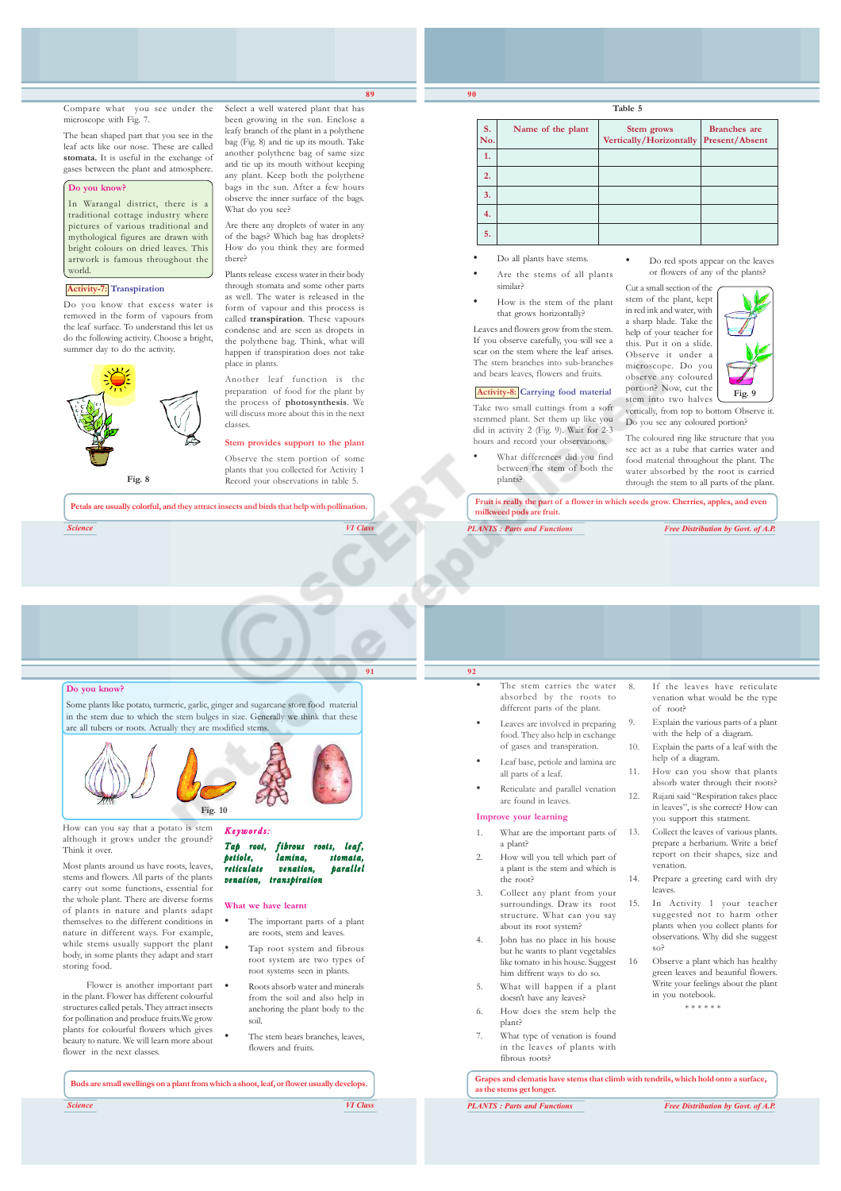Compare what you see under the microscope with Fig. 7.

The bean shaped part that you see in the leaf acts like our nose. These are called **stomata.** It is useful in the exchange of gases between the plant and atmosphere.

#### **Do you know?**

In Warangal district, there is a traditional cottage industry where pictures of various traditional and mythological figures are drawn with bright colours on dried leaves. This artwork is famous throughout the world.

#### **Activity-7: Transpiration**

Do you know that excess water is removed in the form of vapours from the leaf surface. To understand this let us do the following activity. Choose a bright, summer day to do the activity.



**Petals are usually colorful, and they attract insects and birds that help with pollination.**

*Science VI Class*



**89**

Select a well watered plant that has been growing in the sun. Enclose a leafy branch of the plant in a polythene bag (Fig. 8) and tie up its mouth. Take another polythene bag of same size and tie up its mouth without keeping any plant. Keep both the polythene bags in the sun. After a few hours observe the inner surface of the bags.

Are there any droplets of water in any of the bags? Which bag has droplets? How do you think they are formed

Plants release excess water in their body through stomata and some other parts as well. The water is released in the form of vapour and this process is called **transpiration**. These vapours condense and are seen as dropets in the polythene bag. Think, what will happen if transpiration does not take

Another leaf function is the preparation of food for the plant by the process of **photosynthesis**. We will discuss more about this in the next

**Stem provides support to the plant** Observe the stem portion of some plants that you collected for Activity 1 Record your observations in table 5.

What do you see?

place in plants.

classes.

there?

### **Table 5**

| S.<br>No. | Name of the plant | <b>Stem grows</b><br>Vertically/Horizontally | <b>Branches</b> are<br><b>Present/Absent</b> |
|-----------|-------------------|----------------------------------------------|----------------------------------------------|
| 1.        |                   |                                              |                                              |
| 2.        |                   |                                              |                                              |
| 3.        |                   |                                              |                                              |
| 4.        |                   |                                              |                                              |
| 5.        |                   |                                              |                                              |

- Do all plants have stems. • Are the stems of all plants similar?
- How is the stem of the plant that grows horizontally?

Leaves and flowers grow from the stem. If you observe carefully, you will see a scar on the stem where the leaf arises. The stem branches into sub-branches and bears leaves, flowers and fruits.

## **Activity-8: Carrying food material**

Take two small cuttings from a soft stemmed plant. Set them up like you did in activity 2 (Fig. 9). Wait for 2-3 hours and record your observations.

What differences did you find between the stem of both the plants?

• Do red spots appear on the leaves or flowers of any of the plants?

Cut a small section of the stem of the plant, kept in red ink and water, with a sharp blade. Take the help of your teacher for this. Put it on a slide. Observe it under a microscope. Do you observe any coloured portion? Now, cut the stem into two halves



vertically, from top to bottom Observe it. Do you see any coloured portion?

The coloured ring like structure that you see act as a tube that carries water and food material throughout the plant. The water absorbed by the root is carried through the stem to all parts of the plant.

**Fruit is really the part of a flower in which seeds grow. Cherries, apples, and even milkweed pods are fruit.**

*PLANTS : Parts and Functions Free Distribution by Govt. of A.P.*

|                | 91 | 92 |                                                                                         |     |                                                                              |
|----------------|----|----|-----------------------------------------------------------------------------------------|-----|------------------------------------------------------------------------------|
| food material  |    |    | The stem carries the water<br>absorbed by the roots to<br>different parts of the plant. | 8.  | If the leaves have reticulate<br>venation what would be the type<br>of root? |
| ink that these |    |    | Leaves are involved in preparing<br>food. They also help in exchange                    | 9.  | Explain the various parts of a plant<br>with the help of a diagram.          |
|                |    |    | of gases and transpiration.<br>Leaf base, petiole and lamina are                        | 10. | Explain the parts of a leaf with the<br>help of a diagram.                   |
|                |    |    | all parts of a leaf.                                                                    | 11. | How can you show that plants<br>absorb water through their roots?            |
|                |    |    | Reticulate and parallel venation<br>are found in leaves.                                | 12. | Rajani said "Respiration takes place<br>in leaves", is she correct? How can  |
|                |    |    | Improve your learning                                                                   |     | you support this statment.                                                   |
|                |    |    | What are the important parts of                                                         | 13. | Collect the leaves of various plants.                                        |

## **Do you know?**

Some plants like potato, turmeric, garlic, ginger and sugarcane store in the stem due to which the stem bulges in size. Generally we the are all tubers or roots. Actually they are modified stems



How can you say that a potato is stem although it grows under the ground? Think it over.

Most plants around us have roots, leaves, stems and flowers. All parts of the plants carry out some functions, essential for the whole plant. There are diverse forms of plants in nature and plants adapt themselves to the different conditions in nature in different ways. For example, while stems usually support the plant body, in some plants they adapt and start storing food.

Flower is another important part in the plant. Flower has different colourful structures called petals. They attract insects for pollination and produce fruits.We grow plants for colourful flowers which gives beauty to nature. We will learn more about flower in the next classes.

#### Keywords:

| lamina. | stomata,                                                               |
|---------|------------------------------------------------------------------------|
|         | parallel                                                               |
|         |                                                                        |
|         | Tap root, fibrous roots, leaf,<br>venation.<br>venation, transpiration |

#### **What we have learnt**

- The important parts of a plant are roots, stem and leaves.
- Tap root system and fibrous root system are two types of root systems seen in plants. • Roots absorb water and minerals
- from the soil and also help in anchoring the plant body to the soil.
- The stem bears branches, leaves, flowers and fruits.

**Buds are small swellings on a plant from which a shoot, leaf, or flower usually develops.**

*Science VI Class*

- a plant?
- 2. How will you tell which part of a plant is the stem and which is the root?
- surroundings. Draw its root structure. What can you say about its root system?
- but he wants to plant vegetables like tomato in his house. Suggest him diffrent ways to do so.
- doesn't have any leaves?
- 6. How does the stem help the plant? 7. What type of venation is found
	- in the leaves of plants with fibrous roots?

**Grapes and clematis have stems that climb with tendrils, which hold onto a surface, as the stems get longer.**

prepare a herbarium. Write a brief report on their shapes, size and

suggested not to harm other plants when you collect plants for observations. Why did she suggest

14. Prepare a greeting card with dry

16 Observe a plant which has healthy green leaves and beautiful flowers. Write your feelings about the plant

in you notebook. \* \* \* \* \* \*

venation.

leaves.

so?

- 1. What are the important parts of
- 
- 3. Collect any plant from your 15. In Activity 1 your teacher
- 4. John has no place in his house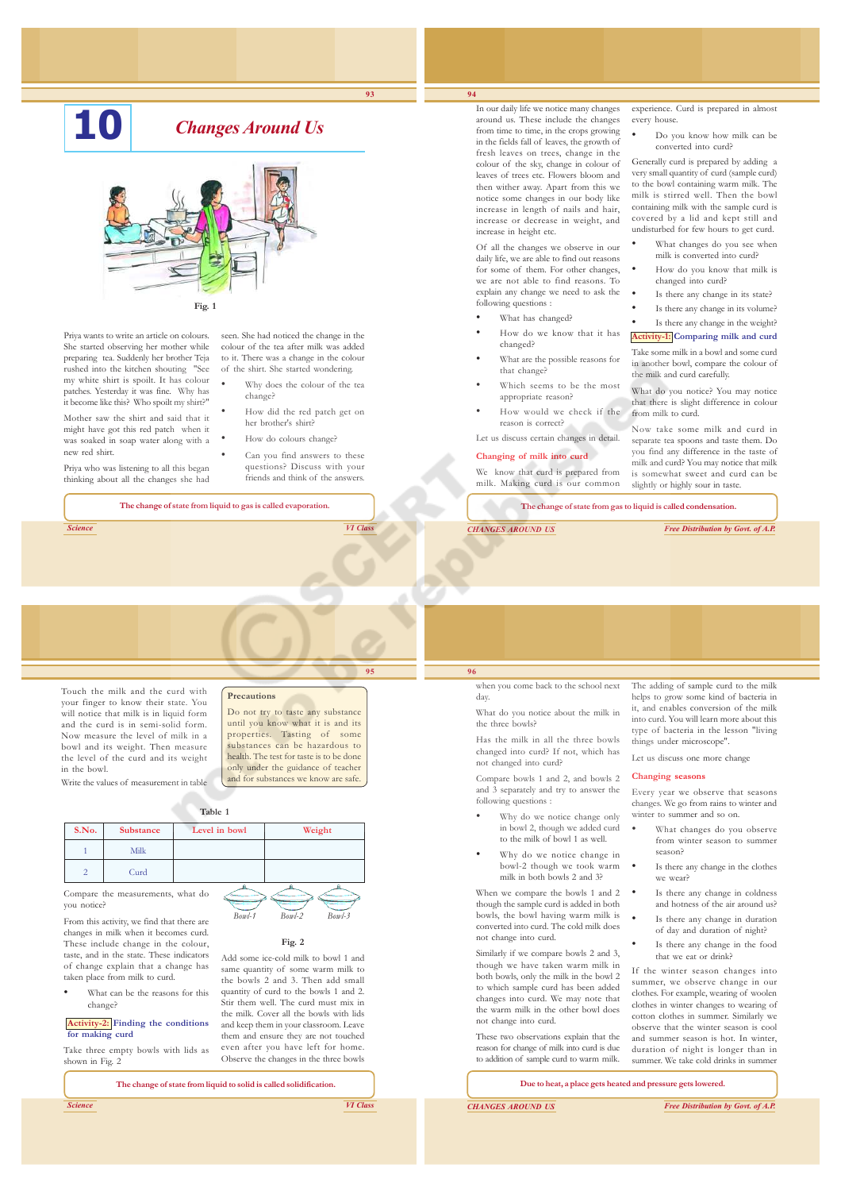# **10** *Changes Around Us*



Priya wants to write an article on colours. She started observing her mother while preparing tea. Suddenly her brother Teja rushed into the kitchen shouting "See my white shirt is spoilt. It has colour patches. Yesterday it was fine. Why has it become like this? Who spoilt my shirt?"

Mother saw the shirt and said that it might have got this red patch when it was soaked in soap water along with a new red shirt.

Priya who was listening to all this began thinking about all the changes she had seen. She had noticed the change in the colour of the tea after milk was added to it. There was a change in the colour of the shirt. She started wondering.

- Why does the colour of the tea change?
- How did the red patch get on her brother's shirt?
- How do colours change?
- Can you find answers to these questions? Discuss with your friends and think of the answers.

**The change of state from liquid to gas is called evaporation.**

*Science VI Class*

## **Precautions**

Touch the milk and the curd with your finger to know their state. You will notice that milk is in liquid form and the curd is in semi-solid form. Now measure the level of milk in a bowl and its weight. Then measure the level of the curd and its weight in the bowl. Do not try to taste any substance until you know what it is and its properties. Tasting of some

Write the values of measurement in table

#### **Table 1**

| S.No.  | Substance                                  | Level in bowl | Weight |
|--------|--------------------------------------------|---------------|--------|
|        | Milk                                       |               |        |
|        | Curd                                       |               |        |
| $\sim$ | <b>Contract Contract Contract Contract</b> |               |        |

Compare the measurements, what do you notice?

From this activity, we find that there are changes in milk when it becomes curd. These include change in the colour, taste, and in the state. These indicators of change explain that a change has taken place from milk to curd.

What can be the reasons for this change?

**Activity-2: Finding the conditions for making curd**

Take three empty bowls with lids as shown in Fig. 2

| Add some ice-cold milk to bowl 1 and    |
|-----------------------------------------|
| same quantity of some warm milk to      |
| the bowls 2 and 3. Then add small       |
| quantity of curd to the bowls 1 and 2.  |
| Stir them well. The curd must mix in    |
| the milk. Cover all the bowls with lids |
| and keep them in your classroom. Leave  |
| them and ensure they are not touched    |
| even after you have left for home.      |
|                                         |

Observe the changes in the three bowls

**Fig. 2**

**The change of state from liquid to solid is called solidification.**

*Science VI Class*



**93**

In our daily life we notice many changes around us. These include the changes from time to time, in the crops growing in the fields fall of leaves, the growth of fresh leaves on trees, change in the colour of the sky, change in colour of leaves of trees etc. Flowers bloom and then wither away. Apart from this we notice some changes in our body like increase in length of nails and hair, increase or decrease in weight, and increase in height etc.

**94**

Of all the changes we observe in our daily life, we are able to find out reasons for some of them. For other changes, we are not able to find reasons. To explain any change we need to ask the following questions :

- What has changed?
- How do we know that it has changed?
- What are the possible reasons for that change?
- Which seems to be the most appropriate reason?
- How would we check if the reason is correct?

Let us discuss certain changes in detail.

#### **Changing of milk into curd**

We know that curd is prepared from milk. Making curd is our common

**The change of state from gas to liquid is called condensation.**

from milk to curd.

*CHANGES AROUND US Free Distribution by Govt. of A.P.*

Now take some milk and curd in separate tea spoons and taste them. Do you find any difference in the taste of milk and curd? You may notice that milk is somewhat sweet and curd can be slightly or highly sour in taste.

experience. Curd is prepared in almost

• Do you know how milk can be converted into curd? Generally curd is prepared by adding a very small quantity of curd (sample curd) to the bowl containing warm milk. The milk is stirred well. Then the bowl containing milk with the sample curd is covered by a lid and kept still and undisturbed for few hours to get curd. What changes do you see when milk is converted into curd? • How do you know that milk is changed into curd? Is there any change in its state? Is there any change in its volume? Is there any change in the weight? **Activity-1: Comparing milk and curd** Take some milk in a bowl and some curd in another bowl, compare the colour of the milk and curd carefully. What do you notice? You may notice that there is slight difference in colour

every house.

#### when you come back to the school next day.

What do you notice about the milk in the three bowls?

Has the milk in all the three bowls changed into curd? If not, which has not changed into curd?

Compare bowls 1 and 2, and bowls 2 and  $3$  separately and try to answer the following questions :

- Why do we notice change only in bowl 2, though we added curd to the milk of bowl 1 as well.
- Why do we notice change in bowl-2 though we took warm milk in both bowls 2 and 3?

When we compare the bowls 1 and 2 though the sample curd is added in both bowls, the bowl having warm milk is converted into curd. The cold milk does not change into curd.

Similarly if we compare bowls 2 and 3, though we have taken warm milk in both bowls, only the milk in the bowl 2 to which sample curd has been added changes into curd. We may note that the warm milk in the other bowl does not change into curd.

These two observations explain that the reason for change of milk into curd is due to addition of sample curd to warm milk.

The adding of sample curd to the milk helps to grow some kind of bacteria in it, and enables conversion of the milk into curd. You will learn more about this type of bacteria in the lesson "living things under microscope".

Let us discuss one more change

#### **Changing seasons**

Every year we observe that seasons changes. We go from rains to winter and winter to summer and so on.

- What changes do you observe from winter season to summer season?
- Is there any change in the clothes we wear?
- Is there any change in coldness and hotness of the air around us?
- Is there any change in duration of day and duration of night?
- Is there any change in the food that we eat or drink?

If the winter season changes into summer, we observe change in our clothes. For example, wearing of woolen clothes in winter changes to wearing of cotton clothes in summer. Similarly we observe that the winter season is cool and summer season is hot. In winter, duration of night is longer than in summer. We take cold drinks in summer

**Due to heat, a place gets heated and pressure gets lowered.**

*CHANGES AROUND US Free Distribution by Govt. of A.P.*



substances can be hazardous to health. The test for taste is to be done only under the guidance of teacher and for substances we know are safe.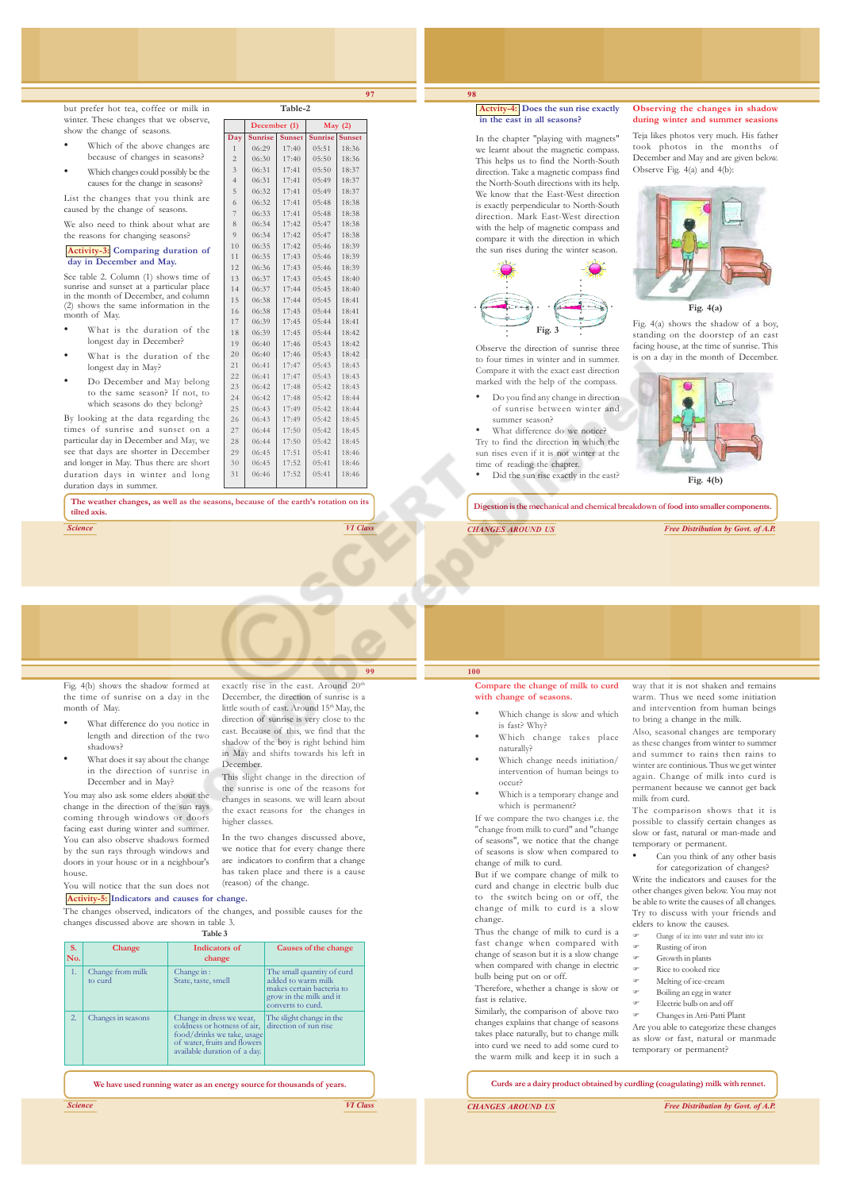but prefer hot tea, coffee or milk in winter. These changes that we observe. show the change of seasons.

- Which of the above changes are because of changes in seasons?
- Which changes could possibly be the

causes for the change in seasons? List the changes that you think are

caused by the change of seasons.

We also need to think about what are the reasons for changing seasons?

#### **Activity-3: Comparing duration of day in December and May.**

See table 2. Column (1) shows time of sunrise and sunset at a particular place in the month of December, and column (2) shows the same information in the month of May.

- What is the duration of the longest day in December?
- What is the duration of the longest day in May?
- Do December and May belong to the same season? If not, to which seasons do they belong?

By looking at the data regarding the times of sunrise and sunset on a particular day in December and May, we see that days are shorter in December and longer in May. Thus there are short duration days in winter and long duration days in summer.

**The weather changes, as well as the seasons, because of the earth's rotation on its tilted axis.**

*Science VI Class*

month of May.

house.

shadows?

Fig. 4(b) shows the shadow formed at the time of sunrise on a day in the • What difference do you notice in length and direction of the two • What does it say about the change exactly rise in the east. Around 20<sup>th</sup> December, the direction of sunrise is a little south of east. Around 15<sup>th</sup> May, the direction of sunrise is very close to the east. Because of this, we find that the shadow of the boy is right behind him in May and shifts towards his left in

December. This slight change in the direction of the sunrise is one of the reasons for changes in seasons. we will learn about the exact reasons for the changes in higher classes.

In the two changes discussed above, we notice that for every change there are indicators to confirm that a change has taken place and there is a cause (reason) of the change.

#### You will notice that the sun does not **Activity-5: Indicators and causes for change.**

in the direction of sunrise in December and in May? You may also ask some elders about the change in the direction of the sun rays coming through windows or doors facing east during winter and summer. You can also observe shadows formed by the sun rays through windows and doors in your house or in a neighbour's

The changes observed, indicators of the changes, and possible causes for the changes discussed above are shown in table 3.

|           | Table 3                     |                                                                                                                                                       |                                                                                                                               |  |  |  |  |  |  |
|-----------|-----------------------------|-------------------------------------------------------------------------------------------------------------------------------------------------------|-------------------------------------------------------------------------------------------------------------------------------|--|--|--|--|--|--|
| S.<br>No. | Change                      | Indicators of<br>change                                                                                                                               | Causes of the change                                                                                                          |  |  |  |  |  |  |
| 1.        | Change from milk<br>to curd | Change in:<br>State, taste, smell                                                                                                                     | The small quantity of curd<br>added to warm milk<br>makes certain bacteria to<br>grow in the milk and it<br>converts to curd. |  |  |  |  |  |  |
| 2.        | Changes in seasons          | Change in dress we wear,<br>coldness or hotness of air,<br>food/drinks we take, usage<br>of water, fruits and flowers<br>available duration of a day. | The slight change in the<br>direction of sun rise                                                                             |  |  |  |  |  |  |

**We have used running water as an energy source for thousands of years.**

#### **Actvity-4: Does the sun rise exactly in the east in all seasons?**

**98**

**97**

**Table-2**

**Day | Sunrise | Sunset | Sunrise | Sunset**  $\begin{array}{|c|c|c|c|c|c|c|} \hline 06:29 & 17:40 & 05:51 & 18:36 \\ \hline 06:30 & 17:40 & 05:50 & 18:36 \\ \hline \end{array}$  $\begin{array}{|c|c|c|c|c|c|c|} \hline 06:30 & 17:40 & 05:50 & 18:36 \\ \hline 06:31 & 17:41 & 05:50 & 18:37 \\ \hline \end{array}$  $17:41$  05:50  $\begin{array}{|c|c|c|c|c|c|}\n 06:31 & 17:41 & 05:49 & 18:37\n\hline\n 06:32 & 17:41 & 05:49 & 18:37\n\end{array}$  $\begin{array}{|c|c|c|c|c|c|c|c|} \hline 06:32 & 17:41 & 05:49 & 18:37 \ \hline 06:32 & 17:41 & 05:48 & 18:38 \ \hline \end{array}$  $\begin{array}{|c|c|c|c|c|c|c|}\n \hline\n 06:32 & 17:41 & 05:48 & 18:38\n \hline\n 06:33 & 17:41 & 05:48 & 18:38\n \end{array}$ 

**December (1) May (2)**

 $\begin{array}{|c|c|c|c|c|c|c|c|} \hline 06:34 & 17:42 & 05:47 & 18:38 \\ \hline 06:34 & 17:42 & 05:47 & 18:38 \\ \hline \end{array}$  $\begin{array}{|c|c|c|c|c|c|c|c|} \hline 9 & 06:34 & 17:42 & 05:47 & 18:38 \\ \hline 10 & 06:35 & 17:42 & 05:46 & 18:39 \\ \hline \end{array}$ 10 06:35 17:42 05:46 18:39 11 06:35 17:43 05:46 18:39  $\begin{array}{|c|c|c|c|c|c|c|}\n\hline\n12 & 06:36 & 17:43 & 05:46 & 18:39 \\
\hline\n13 & 06:37 & 17:43 & 05:45 & 18:40\n\end{array}$  $\begin{array}{|c|c|c|c|c|c|c|}\n\hline\n13 & 06:37 & 17:43 & 05:45 & 18:40 \\
\hline\n14 & 06:37 & 17:44 & 05:45 & 18:40\n\end{array}$  $\begin{array}{|c|c|c|c|c|c|}\n \hline\n 06:37 & 17:44 & 05:45 & 18:40\n \hline\n 06:38 & 17:44 & 05:45 & 18:41\n \end{array}$ 

 $\begin{array}{|c|c|c|c|c|c|c|c|} \hline 16 & 06:38 & 17:45 & 05:44 & 18:41 \ \hline 17 & 06:39 & 17:45 & 05:44 & 18:41 \ \hline \end{array}$  $\begin{array}{|c|c|c|c|c|c|c|c|} \hline 17 & 06:39 & 17:45 & 05:44 & 18:41 \ \hline 18 & 06:39 & 17:45 & 05:44 & 18:42 \ \hline \end{array}$ 

19 06:40 17:46 05:43 18:42  $\begin{array}{|c|c|c|c|c|c|c|c|} \hline 20 & 06:40 & 17:46 & 05:43 & 18:42 \\ \hline 21 & 06:41 & 17:47 & 05:43 & 18:43 \\ \hline \end{array}$ 21 06:41 17:47 05:43 18:43

23 06:42 17:48 05:42 18:43  $\begin{array}{|c|c|c|c|c|c|}\n \hline\n 24 & 06:42 & 17:48 & 05:42 & 18:44 \\
 \hline\n 25 & 06:43 & 17:49 & 05:42 & 18:44\n \end{array}$  $\begin{array}{|c|c|c|c|c|c|c|}\n \hline\n 06:43 & 17:49 & 05:42 & 18:44 \\
 \hline\n 06:43 & 17:49 & 05:42 & 18:45\n \end{array}$ 26 06:43 17:49 05:42 18:45  $\begin{array}{|c|c|c|c|c|c|c|}\n\hline\n28 & 06:44 & 17:50 & 05:42 & 18:45 \\
\hline\n28 & 06:44 & 17:50 & 05:42 & 18:45\n\end{array}$ 28 06:44 17:50 05:42 18:45  $\begin{array}{|c|c|c|c|c|c|c|c|}\n\hline\n29 & 06:45 & 17:51 & 05:41 & 18:46 \\
\hline\n30 & 06:45 & 17:52 & 05:41 & 18:46\n\end{array}$ 30 06:45 17:52 05:41 18:46 31 06:46 17:52 05:41 18:46

06:33

15 06:38

 $06.39$ 

 $06:41$ 

In the chapter "playing with magnets" we learnt about the magnetic compass. This helps us to find the North-South direction. Take a magnetic compass find the North-South directions with its help. We know that the East-West direction is exactly perpendicular to North-South direction. Mark East-West direction with the help of magnetic compass and compare it with the direction in which the sun rises during the winter season.



Observe the direction of sunrise three to four times in winter and in summer. Compare it with the exact east direction marked with the help of the compass.

- Do you find any change in direction of sunrise between winter and summer season?
- What difference do we notice? Try to find the direction in which the sun rises even if it is not winter at the
- time of reading the chapter. • Did the sun rise exactly in the east?

#### **Observing the changes in shadow during winter and summer seasions**

Teja likes photos very much. His father took photos in the months of December and May and are given below. Observe Fig. 4(a) and 4(b):



**Fig. 4(a)**

Fig. 4(a) shows the shadow of a boy, standing on the doorstep of an east facing house, at the time of sunrise. This is on a day in the month of December.



**Fig. 4(b)**

**Digestion is the mechanical and chemical breakdown of food into smaller components.**

*CHANGES AROUND US Free Distribution by Govt. of A.P.*

# **100**

**Compare the change of milk to curd** with change of seas

- Which change is slow and which is fast? Why?
- Which change takes place naturally?
- Which change needs initiation/ intervention of human beings to occur?
- Which is a temporary change and which is permanent?

If we compare the two changes i.e. the "change from milk to curd" and "change of seasons", we notice that the change of seasons is slow when compared to change of milk to curd.

But if we compare change of milk to curd and change in electric bulb due to the switch being on or off, the change of milk to curd is a slow change.

Thus the change of milk to curd is a fast change when compared with change of season but it is a slow change when compared with change in electric bulb being put on or off.

Therefore, whether a change is slow or fast is relative.

Similarly, the comparison of above two changes explains that change of seasons takes place naturally, but to change milk into curd we need to add some curd to the warm milk and keep it in such a

way that it is not shaken and remains warm. Thus we need some initiation and intervention from human beings to bring a change in the milk.

Also, seasonal changes are temporary as these changes from winter to summer and summer to rains then rains to winter are continious. Thus we get winter again. Change of milk into curd is permanent because we cannot get back milk from curd.

The comparison shows that it is possible to classify certain changes as slow or fast, natural or man-made and temporary or permanent.

Can you think of any other basis for categorization of changes?

Write the indicators and causes for the other changes given below. You may not be able to write the causes of all changes. Try to discuss with your friends and elders to know the causes.

- ) Change of ice into water and water into ice
- ) Rusting of iron
- ) Growth in plants
- ) Rice to cooked rice ) Melting of ice-cream
- ) Boiling an egg in water
- ) Electric bulb on and off
- ) Changes in Atti-Patti Plant

Are you able to categorize these changes as slow or fast, natural or manmade temporary or permanent?

**Curds are a dairy product obtained by curdling (coagulating) milk with rennet.**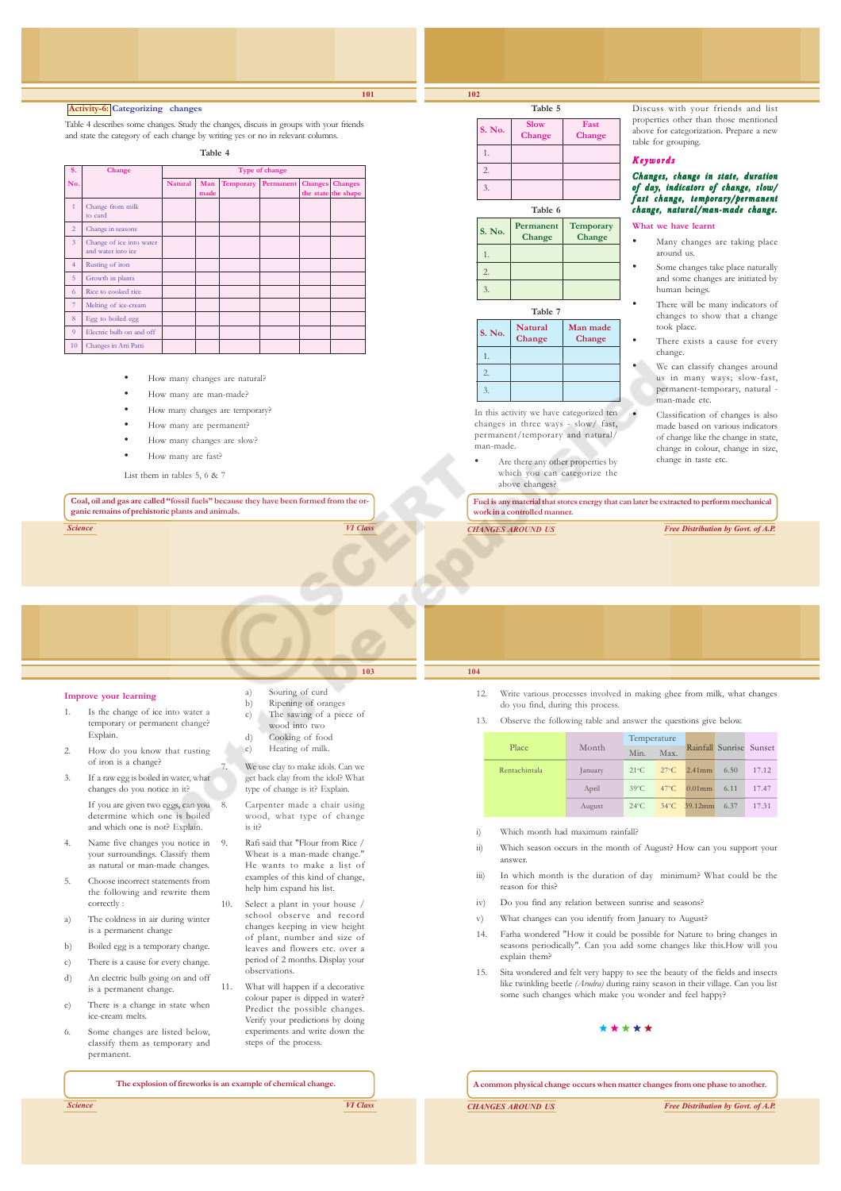1. 2. 3.

1. 2. 3.

1. 2. 3.

man-made.

**Table 5 S. No.** Slow Fast

**Table 6 S. No.** Permanent Temporary  **Change Change**

**Table 7 S. No.** Natural Man made **Change Change**

In this activity we have categorized ten changes in three ways - slow/ fast, permanent/temporary and natural/

 **Change Change**

Discuss with your friends and list properties other than those mentioned above for categorization. Prepare a new table for grouping.

#### Keywords

#### Changes, change in state, duration of day, indicators of change, slow/ fast change, temporary/permanent change, natural/man-made change.

#### **What we have learnt**

- Many changes are taking place around us.
- Some changes take place naturally and some changes are initiated by human beings.
- There will be many indicators of changes to show that a change took place.
- There exists a cause for every change.
- We can classify changes around us in many ways; slow-fast, permanent-temporary, natural man-made etc.
- Classification of changes is also made based on various indicators of change like the change in state, change in colour, change in size, change in taste etc.
- Are there any other properties by which you can categorize the above changes?

**Fuel is any material that stores energy that can later be extracted to perform mechanical work in a controlled manner.**

*CHANGES AROUND US Free Distribution by Govt. of A.P.*

#### **Activity-6: Categorizing changes**

Table 4 describes some changes. Study the changes, discuss in groups with your friends and state the category of each change by writing yes or no in relevant columns.

**Table 4**

| S.             | Change                                         | Type of change |             |           |                   |  |                                       |
|----------------|------------------------------------------------|----------------|-------------|-----------|-------------------|--|---------------------------------------|
| No.            |                                                | <b>Natural</b> | Man<br>made | Temporary | Permanent Changes |  | <b>Changes</b><br>the state the shape |
| $\mathbf{1}$   | Change from milk<br>to curd                    |                |             |           |                   |  |                                       |
| $\overline{2}$ | Change in seasons                              |                |             |           |                   |  |                                       |
| $\overline{3}$ | Change of ice into water<br>and water into ice |                |             |           |                   |  |                                       |
| $\overline{4}$ | Rusting of iron                                |                |             |           |                   |  |                                       |
| 5              | Growth in plants                               |                |             |           |                   |  |                                       |
| 6              | Rice to cooked rice                            |                |             |           |                   |  |                                       |
| $\overline{7}$ | Melting of ice-cream                           |                |             |           |                   |  |                                       |
| 8              | Egg to boiled egg                              |                |             |           |                   |  |                                       |
| $\overline{9}$ | Electric bulb on and off                       |                |             |           |                   |  |                                       |
| 10             | Changes in Atti Patti                          |                |             |           |                   |  |                                       |

- How many changes are natural?
- How many are man-made?
- How many changes are temporary?
- How many are permanent?
- How many changes are slow?
- How many are fast?

List them in tables 5, 6 & 7

**Coal, oil and gas are called "fossil fuels" because they have been formed from the organic remains of prehistoric plants and animals.**

*Science VI Class*

#### **Improve your learning**

- 1. Is the change of ice into water a temporary or permanent change? Explain.
- 2. How do you know that rusting of iron is a change?
- 3. If a raw egg is boiled in water, what changes do you notice in it? If you are given two eggs, can you determine which one is boiled and which one is not? Explain.
- 4. Name five changes you notice in your surroundings. Classify them as natural or man-made changes.
- 5. Choose incorrect statements from the following and rewrite them correctly :
- a) The coldness in air during winter is a permanent change
- b) Boiled egg is a temporary change.
- c) There is a cause for every change.
- d) An electric bulb going on and off is a permanent change.
- e) There is a change in state when ice-cream melts.
- 6. Some changes are listed below, classify them as temporary and permanent.
	- **The explosion of fireworks is an example of chemical change.**

is it?

observations. 11. What will happen if a decorative colour paper is dipped in water? Predict the possible changes. Verify your predictions by doing experiments and write down the steps of the process.

*Science VI Class*

**103**

Souring of curd b) Ripening of oranges c) The sawing of a piece of wood into two d) Cooking of food e) Heating of milk. We use clay to make idols. Can we get back clay from the idol? What type of change is it? Explain. Carpenter made a chair using wood, what type of change

9. Rafi said that "Flour from Rice / Wheat is a man-made change. He wants to make a list of examples of this kind of change, help him expand his list. 10. Select a plant in your house / school observe and record changes keeping in view height of plant, number and size of leaves and flowers etc. over a period of 2 months. Display your

12. Write various processes involved in making ghee from milk, what changes do you find, during this process.

13. Observe the following table and answer the questions give below.

|               |         | Temperature    |      |                                                | Rainfall Sunrise Sunset |
|---------------|---------|----------------|------|------------------------------------------------|-------------------------|
| Place         | Month   | Min.           | Max. |                                                |                         |
| Rentachintala | January |                |      | $21^{\circ}$ C $27^{\circ}$ C $2.41$ mm $6.50$ | 17.12                   |
|               | April   |                |      | 39°C 47°C 0.01mm 6.11                          | 17.47                   |
|               | August  | $24^{\circ}$ C |      | 34°C 39.12mm 6.37                              | 17.31                   |

- i) Which month had maximum rainfall?
- ii) Which season occurs in the month of August? How can you support your answer.
- iii) In which month is the duration of day minimum? What could be the reason for this?
- iv) Do you find any relation between sunrise and seasons?
- v) What changes can you identify from January to August?
- 14. Farha wondered "How it could be possible for Nature to bring changes in seasons periodically". Can you add some changes like this.How will you explain them?
- 15. Sita wondered and felt very happy to see the beauty of the fields and insects like twinkling beetle *(Arudra)* during rainy season in their village. Can you list some such changes which make you wonder and feel happy?

### \*\*\*\*\*

**A common physical change occurs when matter changes from one phase to another.**

*CHANGES AROUND US Free Distribution by Govt. of A.P.*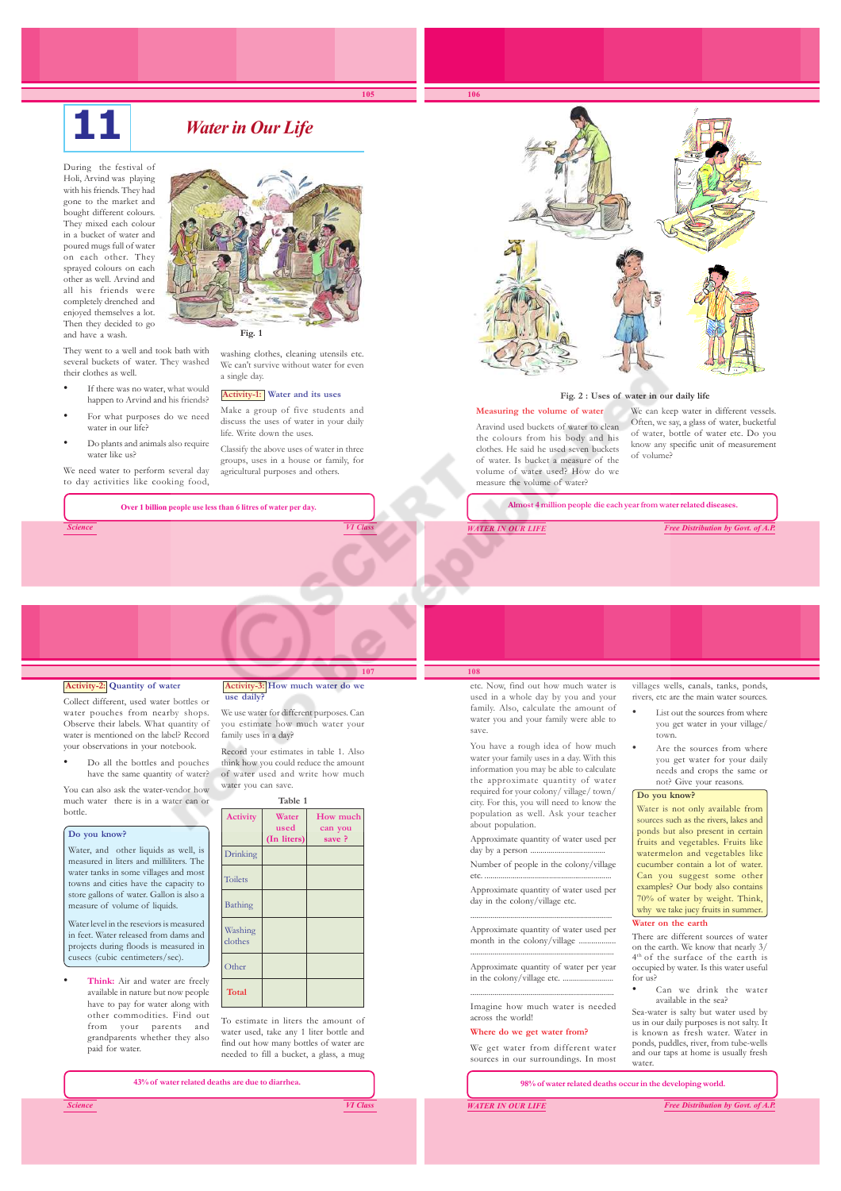# *Water in Our Life*

**105**

During the festival of Holi, Arvind was playing with his friends. They had gone to the market and bought different colours. They mixed each colour in a bucket of water and poured mugs full of water on each other. They sprayed colours on each other as well. Arvind and all his friends were completely drenched and enjoyed themselves a lot. Then they decided to go and have a wash.

They went to a well and took bath with several buckets of water. They washed their clothes as well.

- If there was no water, what would happen to Arvind and his friends?
- For what purposes do we need water in our life?
- Do plants and animals also require water like us?

We need water to perform several day to day activities like cooking food,

*Science VI Class*



washing clothes, cleaning utensils etc. We can't survive without water for even a single day.

### **Activity-1: Water and its uses**

Make a group of five students and discuss the uses of water in your daily life. Write down the uses.

Classify the above uses of water in three groups, uses in a house or family, for agricultural purposes and others.

**Over 1 billion people use less than 6 litres of water per day.**



#### **Fig. 2 : Uses of water in our daily life**

**Measuring the volume of water** Aravind used buckets of water to clean the colours from his body and his clothes. He said he used seven buckets of water. Is bucket a measure of the volume of water used? How do we measure the volume of water?

We can keep water in different vessels. Often, we say, a glass of water, bucketful of water, bottle of water etc. Do you know any specific unit of measurement of volume?

**Almost 4 million people die each year from water related diseases.**

*WATER IN OUR LIFE Free Distribution by Govt. of A.P.*

#### **Activity-2: Quantity of water**

Collect different, used water bottles or water pouches from nearby shops. Observe their labels. What quantity of water is mentioned on the label? Record your observations in your notebook.

• Do all the bottles and pouches have the same quantity of water?

You can also ask the water-vendor how much water there is in a water can or bottle.

#### **Do you know?**

Water, and other liquids as well, is measured in liters and milliliters. The water tanks in some villages and most towns and cities have the capacity to store gallons of water. Gallon is also a measure of volume of liquids.

Water level in the reseviors is measured in feet. Water released from dams and projects during floods is measured in cusecs (cubic centimeters/sec).

• **Think:** Air and water are freely available in nature but now people have to pay for water along with other commodities. Find out from your parents and grandparents whether they also paid for water.

#### **107 Activity-3: How much water do we use daily?**

We use water for different purposes. Can you estimate how much water your family uses in a day?

Record your estimates in table 1. Also think how you could reduce the amount of water used and write how much water you can save.

| Table 1            |               |                     |  |
|--------------------|---------------|---------------------|--|
| Activity           | Water<br>used | How much<br>can you |  |
|                    | (In liters)   | save ?              |  |
| Drinking           |               |                     |  |
| <b>Toilets</b>     |               |                     |  |
| Bathing            |               |                     |  |
| Washing<br>clothes |               |                     |  |
| Other              |               |                     |  |
| <b>Total</b>       |               |                     |  |

To estimate in liters the amount of water used, take any 1 liter bottle and find out how many bottles of water are needed to fill a bucket, a glass, a mug

**43% of water related deaths are due to diarrhea.**

# **108**

etc. Now, find out how much water is used in a whole day by you and your family. Also, calculate the amount of water you and your family were able to save.

You have a rough idea of how much water your family uses in a day. With this information you may be able to calculate the approximate quantity of water required for your colony/ village/ town/ city. For this, you will need to know the population as well. Ask your teacher about population.

Approximate quantity of water used per

Number of people in the colony/village etc. ...............................................................

day in the colony/village etc.

Approximate quantity of water used per month in the colony/village ........................................................................

Approximate quantity of water per year in the colony/village etc. ...

........................................................................ Imagine how much water is needed across the world!

#### **Where do we get water from?**

We get water from different water sources in our surroundings. In most

villages wells, canals, tanks, ponds, rivers, etc are the main water

- List out the sources from where you get water in your village/ town.
- Are the sources from where you get water for your daily needs and crops the same or not? Give your reasons.

#### **Do you know?**

Water is not only available from sources such as the rivers, lakes and ponds but also present in certain fruits and vegetables. Fruits like watermelon and vegetables like cucumber contain a lot of water. Can you suggest some other examples? Our body also contains 70% of water by weight. Think, why we take jucy fruits in summer.

#### **Water on the earth**

There are different sources of water on the earth. We know that nearly 3/ 4 th of the surface of the earth is occupied by water. Is this water useful for us?

• Can we drink the water available in the sea?

Sea-water is salty but water used by us in our daily purposes is not salty. It is known as fresh water. Water in ponds, puddles, river, from tube-wells and our taps at home is usually fresh water.

**98% of water related deaths occur in the developing world.**

*WATER IN OUR LIFE Free Distribution by Govt. of A.P.*

# day by a person

Approximate quantity of water used per

.......................................................................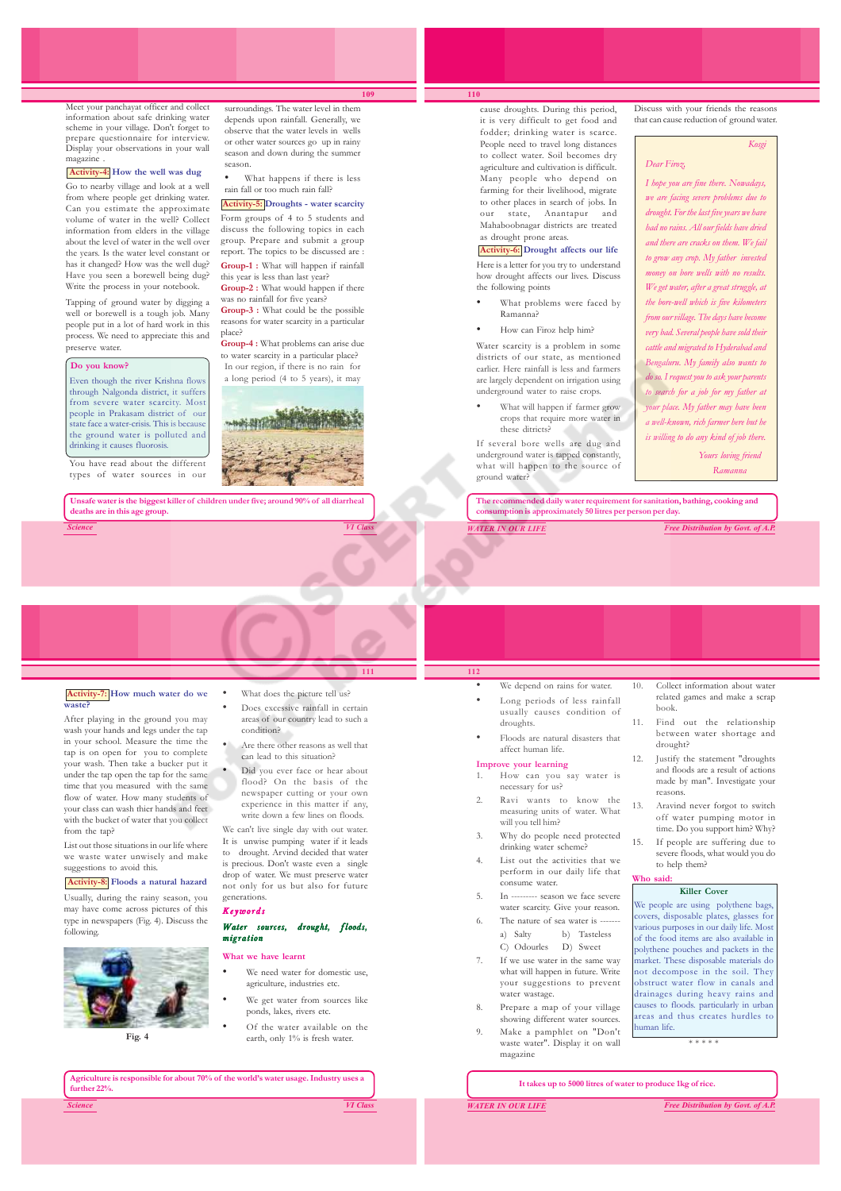Meet your panchayat officer and collect information about safe drinking water scheme in your village. Don't forget to prepare questionnaire for interview. Display your observations in your wall magazine .

#### **Activity-4: How the well was dug**

Go to nearby village and look at a well from where people get drinking water. Can you estimate the approximate volume of water in the well? Collect information from elders in the village about the level of water in the well over the years. Is the water level constant or has it changed? How was the well dug? Have you seen a borewell being dug? Write the process in your notebook.

Tapping of ground water by digging a well or borewell is a tough job. Many people put in a lot of hard work in this process. We need to appreciate this and -<br>preserve water.

#### **Do you know?**

Even though the river Krishna flow through Nalgonda district, it suffers from severe water scarcity. Most people in Prakasam district of our state face a water-crisis. This is becaus the ground water is polluted and drinking it causes fluorosis.

You have read about the different types of water sources in our

**deaths are in this age group.**

surroundings. The water level in them depends upon rainfall. Generally, we observe that the water levels in wells or other water sources go up in rainy season and down during the summer season.

**109**

What happens if there is less rain fall or too much rain fall?

**Activity-5: Droughts - water scarcity** Form groups of 4 to 5 students and discuss the following topics in each

group. Prepare and submit a group report. The topics to be discussed are : **Group-1 :** What will happen if rainfall

this year is less than last year? **Group-2 :** What would happen if there was no rainfall for five years?

**Group-3 :** What could be the possible reasons for water scarcity in a particular place?

**Group-4 :** What problems can arise due to water scarcity in a particular place? In our region, if there is no rain for

a long period (4 to 5 years), it may



**Unsafe water is the biggest killer of children under five; around 90% of all diarrheal**

# *Science VI Class*

cause droughts. During this period, it is very difficult to get food and fodder; drinking water is scarce. People need to travel long distances to collect water. Soil becomes dry agriculture and cultivation is difficult. Many people who depend on farming for their livelihood, migrate to other places in search of jobs. In our state, Anantapur and Mahaboobnagar districts are treated as drought prone areas.

**Activity-6: Drought affects our life** Here is a letter for you try to understand how drought affects our lives. Discuss the following points

- What problems were faced by Ramanna?
- How can Firoz help him?

Water scarcity is a problem in some districts of our state, as mentioned earlier. Here rainfall is less and farmers are largely dependent on irrigation using underground water to raise crops.

• What will happen if farmer grow crops that require more water in these ditricts?

If several bore wells are dug and underground water is tapped constantly, what will happen to the source of ground water?

Discuss with your friends the reasons that can cause reduction of ground water.

*Kosgi*

## *Dear Firoz,*

*I hope you are fine there. Nowadays, we are facing severe problems due to drought. For the last five years we have had no rains. All our fields have dried and there are cracks on them. We fail to grow any crop. My father invested money on bore wells with no results. We get water, after a great struggle, at the bore-well which is five kilometers from our village. The days have become very bad. Several people have sold their cattle and migrated to Hyderabad and Bengaluru. My family also wants to do so. I request you to ask your parents to search for a job for my father at your place. My father may have been a well-known, rich farmer here but he is willing to do any kind of job there.*

> *Yours loving friend Ramanna*

**The recommended daily water requirement for sanitation, bathing, cooking and consumption is approximately 50 litres per person per day.**

*WATER IN OUR LIFE Free Distribution by Govt. of A.P.*

#### **Activity-7: How much water do we waste?**

After playing in the ground you may wash your hands and legs under the tap in your school. Measure the time the tap is on open for you to complete your wash. Then take a bucker put it under the tap open the tap for the same time that you measured with the same flow of water. How many students of your class can wash thier hands and feet with the bucket of water that you collect from the tap?

List out those situations in our life where we waste water unwisely and make suggestions to avoid this.

## **Activity-8: Floods a natural hazard**

Usually, during the rainy season, you may have come across pictures of this type in newspapers (Fig. 4). Discuss the following.



**Fig. 4**

• What does the picture tell us?

- Does excessive rainfall in certain areas of our country lead to such a condition?
- Are there other reasons as well that can lead to this situation?
- Did you ever face or hear about flood? On the basis of the newspaper cutting or your own experience in this matter if any, write down a few lines on floods.

We can't live single day with out water. It is unwise pumping water if it leads

to drought. Arvind decided that water is precious. Don't waste even a single drop of water. We must preserve water not only for us but also for future generations.

#### Keywords

### Water sources, drought, floods, migration

#### **What we have learnt**

- We need water for domestic use. agriculture, industries etc.
- We get water from sources like ponds, lakes, rivers etc.
- Of the water available on the earth, only 1% is fresh water.

*Science VI Class* **Agriculture is responsible for about 70% of the world's water usage. Industry uses a further 22%.**

We depend on rains for water Long periods of less rainfall usually causes condition of droughts.

**112**

• Floods are natural disasters that affect human life.

#### **Improve your learning**

- 1. How can you say water is necessary for us?
- measuring units of water. What will you tell him?
- 3. Why do people need protected drinking water scheme?
- 4. List out the activities that we consume water.
- 5. In --------- season we face severe
- a) Salty b) Tasteless
- If we use water in the same way .<br>water wastage.
- Prepare a map of your village
- Make a pamphlet on "Don't waste water". Display it on wall magazine
- Collect information about water related games and make a scrap book.
- 11. Find out the relationship between water shortage and drought?
- 12. Justify the statement "droughts and floods are a result of actions made by man". Investigate your reasons.
- 13. Aravind never forgot to switch off water pumping motor in time. Do you support him? Why?
- 15. If people are suffering due to severe floods, what would you do to help them? **Who said:**

#### **Killer Cover**

We people are using polythene bags, covers, disposable plates, glasses for various purposes in our daily life. Most of the food items are also available in polythene pouches and packets in the market. These disposable materials do not decompose in the soil. They obstruct water flow in canals and drainages during heavy rains and auses to floods. particularly in urban areas and thus creates hurdles to uman life.

\* \* \* \* \*

#### **It takes up to 5000 litres of water to produce 1kg of rice.**

*WATER IN OUR LIFE Free Distribution by Govt. of A.P.*

# 2. Ravi wants to know the

- 
- perform in our daily life that
- water scarcity. Give your reason. The nature of sea water is -
- C) Odourles D) Sweet
- what will happen in future. Write your suggestions to prevent
- showing different water sources.

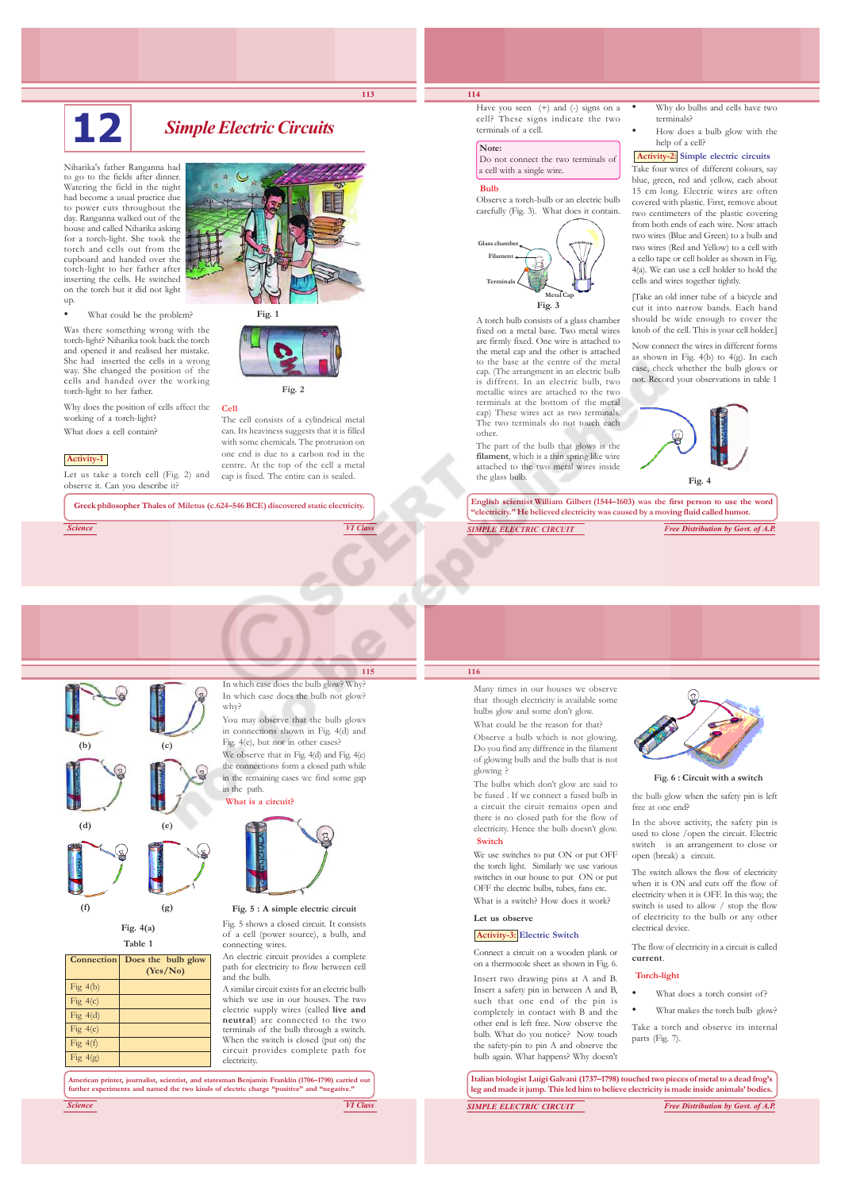# **12** *Simple Electric Circuits*

Niharika's father Ranganna had to go to the fields after dinner. Watering the field in the night had become a usual practice due to power cuts throughout the day. Ranganna walked out of the house and called Niharika asking for a torch-light. She took the torch and cells out from the cupboard and handed over the torch-light to her father after inserting the cells. He switched on the torch but it did not light up.

What could be the problem?

Was there something wrong with the torch-light? Niharika took back the torch and opened it and realised her mistake. She had inserted the cells in a wrong way. She changed the position of the cells and handed over the working torch-light to her father.

Why does the position of cells affect the working of a torch-light? What does a cell contain?

#### **Activity-1**

Let us take a torch cell (Fig. 2) and observe it. Can you describe it?





**113**



The cell consists of a cylindrical metal can. Its heaviness suggests that it is filled with some chemicals. The protrusion on one end is due to a carbon rod in the centre. At the top of the cell a metal cap is fixed. The entire can is sealed.

**Greek philosopher Thales of Miletus (c.624–546 BCE) discovered static electricity.**

*Science VI Class*

## **114**

Have you seen (+) and (-) signs on a cell? These signs indicate the two terminals of a cell.

## **Note:**

 Do not connect the two terminals of a cell with a single wire.

#### **Bulb**

Observe a torch-bulb or an electric bulb carefully (Fig. 3). What does it contain.



A torch bulb consists of a glass chamber fixed on a metal base. Two metal wires are firmly fixed. One wire is attached to the metal cap and the other is attached to the base at the centre of the metal cap. (The arrangment in an electric bulb is diffrent. In an electric bulb, two metallic wires are attached to the two terminals at the bottom of the metal cap) These wires act as two terminals. The two terminals do not touch each other.

The part of the bulb that glows is the **filament**, which is a thin spring like wire attached to the two metal wires inside the glass bulb.

• Why do bulbs and cells have two terminals?

• How does a bulb glow with the help of a cell?

#### **Activity-2: Simple electric circuits**

Take four wires of different colours, say blue, green, red and yellow, each about 15 cm long. Electric wires are often covered with plastic. First, remove about two centimeters of the plastic covering from both ends of each wire. Now attach two wires (Blue and Green) to a bulb and two wires (Red and Yellow) to a cell with a cello tape or cell holder as shown in Fig. 4(a). We can use a cell holder to hold the cells and wires together tightly.

[Take an old inner tube of a bicycle and cut it into narrow bands. Each band should be wide enough to cover the knob of the cell. This is your cell holder.]

Now connect the wires in different forms as shown in Fig. 4(b) to 4(g). In each case, check whether the bulb glows or not. Record your observations in table 1



**English scientist William Gilbert (1544–1603) was the first person to use the word "electricity." He believed electricity was caused by a moving fluid called humor.**

*SIMPLE ELECTRIC CIRCUIT Free Distribution by Govt. of A.P.*



**Fig. 4(a) Table 1 Connection** Does the bulb glow

**(f) (g)**

Fig  $4(b)$ Fig 4(c) Fig 4(d) Fig  $4(e)$ Fig  $4(f)$ Fig 4(g)

**(Yes/No)**

**115** In which case does the bulb glow? Why? In which case does the bulb not glow? why?

You may observe that the bulb glows in connections shown in Fig. 4(d) and Fig. 4(e), but not in other cases? We observe that in Fig. 4(d) and Fig. 4(e) the connections form a closed path while

in the remaining cases we find some gap in the path.  **What is a circuit?**



**Fig. 5 : A simple electric circuit**

Fig. 5 shows a closed circuit. It consists of a cell (power source), a bulb, and connecting wires.

An electric circuit provides a complete path for electricity to flow between cell and the bulb.

A similar circuit exists for an electric bulb which we use in our houses. The two electric supply wires (called **live and neutral**) are connected to the two terminals of the bulb through a switch. When the switch is closed (put on) the circuit provides complete path for electricity.

**American printer, journalist, scientist, and statesman Benjamin Franklin (1706–1790) carried out further experiments and named the two kinds of electric charge "positive" and "negative."**

*Science VI Class*

## **116**

Many times in our houses we observe that though electricity is available some bulbs glow and some don't glow. What could be the reason for that? Observe a bulb which is not glowing. Do you find any diffrence in the filament of glowing bulb and the bulb that is not glowing ?

The bulbs which don't glow are said to be fused . If we connect a fused bulb in a circuit the ciruit remains open and there is no closed path for the flow of electricity. Hence the bulb doesn't glow.  **Switch**

We use switches to put ON or put OFF the torch light. Similarly we use various switches in our house to put ON or put OFF the electric bulbs, tubes, fans etc. What is a switch? How does it work?

#### **Let us observe**

#### **Activity-3: Electric Switch**

Connect a circuit on a wooden plank or on a thermocole sheet as shown in Fig. 6. Insert two drawing pins at A and B. Insert a safety pin in between A and B, such that one end of the pin is completely in contact with B and the other end is left free. Now observe the bulb. What do you notice? Now touch the safety-pin to pin A and observe the bulb again. What happens? Why doesn't



free at one end?

used to close /open the circuit. Electric switch is an arrangement to close or

when it is ON and cuts off the flow of electricity when it is OFF. In this way, the switch is used to allow / stop the flow of electricity to the bulb or any other electrical device.

The flow of electricity in a circuit is called **current**.

#### **Torch-light**

- What does a torch consist of?
- What makes the torch bulb glow?

Take a torch and observe its internal parts (Fig. 7).

*SIMPLE ELECTRIC CIRCUIT Free Distribution by Govt. of A.P.* **Italian biologist Luigi Galvani (1737–1798) touched two pieces of metal to a dead frog's leg and made it jump. This led him to believe electricity is made inside animals' bodies.**



the bulb glow when the safety pin is left  **Fig. 6 : Circuit with a switch**

In the above activity, the safety pin is

open (break) a circuit.

The switch allows the flow of electricity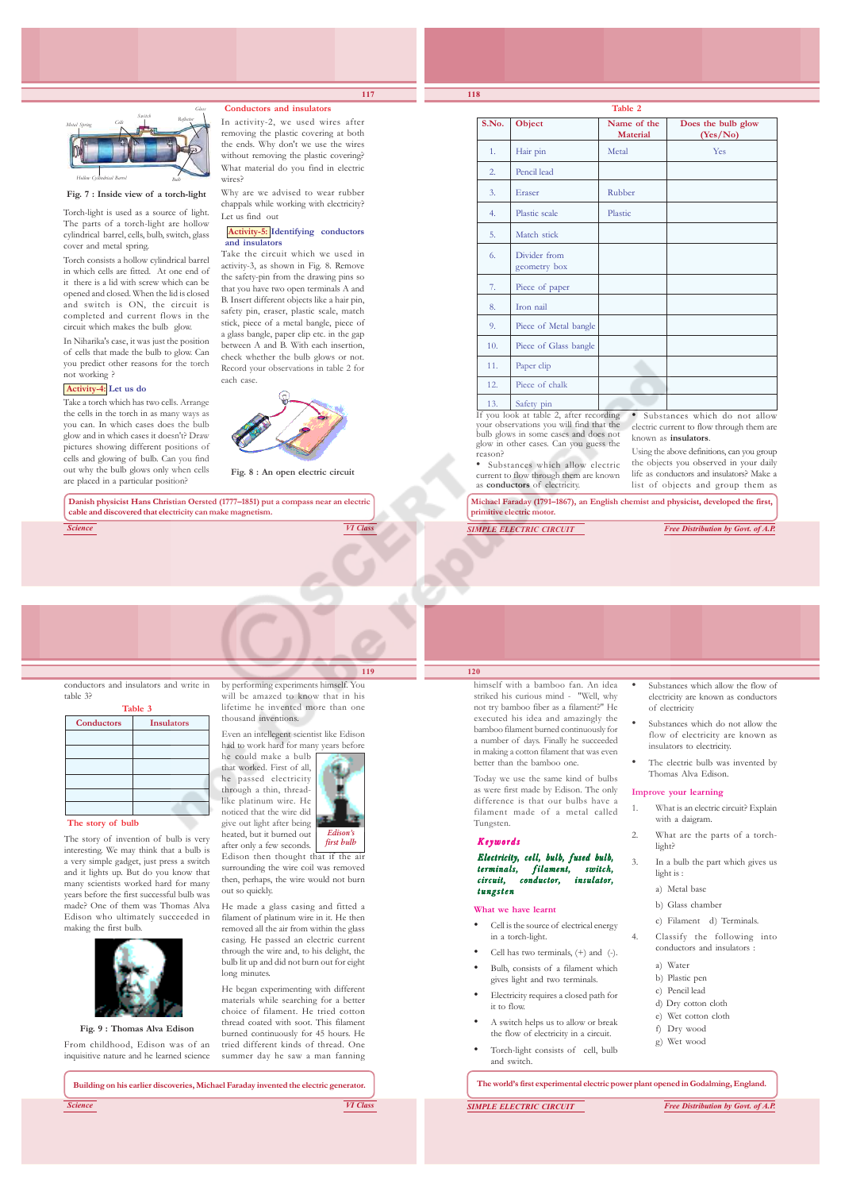

#### **Fig. 7 : Inside view of a torch-light**

Torch-light is used as a source of light. The parts of a torch-light are hollow cylindrical barrel, cells, bulb, switch, glass cover and metal spring.

Torch consists a hollow cylindrical barrel in which cells are fitted. At one end of it there is a lid with screw which can be opened and closed. When the lid is closed and switch is ON, the circuit is completed and current flows in the circuit which makes the bulb glow.

In Niharika's case, it was just the position of cells that made the bulb to glow. Can you predict other reasons for the torch not working ?

#### **Activity-4: Let us do**

Take a torch which has two cells. Arrange the cells in the torch in as many ways as you can. In which cases does the bulb glow and in which cases it doesn't? Draw pictures showing different positions of cells and glowing of bulb. Can you find out why the bulb glows only when cells are placed in a particular position?

stick, piece of a metal bangle, piece of a glass bangle, paper clip etc. in the gap between A and B. With each insertion, check whether the bulb glows or not. Record your observations in table 2 for each case.

 **Conductors and insulators** In activity-2, we used wires after removing the plastic covering at both the ends. Why don't we use the wires without removing the plastic covering? What material do you find in electric

Why are we advised to wear rubber chappals while working with electricity?

 **Activity-5: Identifying conductors**

Take the circuit which we used in activity-3, as shown in Fig. 8. Remove the safety-pin from the drawing pins so that you have two open terminals A and B. Insert different objects like a hair pin, safety pin, eraser, plastic scale, match

wires?

Let us find out

**and insulators**



**Fig. 8 : An open electric circuit**

**Danish physicist Hans Christian Oersted (1777–1851) put a compass near an electric cable and discovered that electricity can make magnetism.**

*Science VI Class*

conductors and insulators and write in table 3? **Table 3**

| <b>Conductors</b> | <b>Insulators</b> |
|-------------------|-------------------|
|                   |                   |
|                   |                   |
|                   |                   |
|                   |                   |
|                   |                   |
|                   |                   |

#### **The story of bulb**

The story of invention of bulb is very interesting. We may think that a bulb is a very simple gadget, just press a switch and it lights up. But do you know that many scientists worked hard for many years before the first successful bulb was made? One of them was Thomas Alva Edison who ultimately succeeded in making the first bulb.



**Fig. 9 : Thomas Alva Edison** From childhood, Edison was of an inquisitive nature and he learned science

by performing experiments himself. You will be amazed to know that in his lifetime he invented more than one thousand inventions.

**119**

Even an intellegent scientist like Edison had to work hard for many years before he could make a bulb that worked. First of all, he passed electricity through a thin, threadlike platinum wire. He noticed that the wire did give out light after being



surrounding the wire coil was removed then, perhaps, the wire would not burn out so quickly.

He made a glass casing and fitted a filament of platinum wire in it. He then removed all the air from within the glass casing. He passed an electric current through the wire and, to his delight, the bulb lit up and did not burn out for eight long minutes.

He began experimenting with different materials while searching for a better choice of filament. He tried cotton thread coated with soot. This filament burned continuously for 45 hours. He tried different kinds of thread. One summer day he saw a man fanning

*Science VI Class* **Building on his earlier discoveries, Michael Faraday invented the electric generator.**

**117**

**S.No.** Object Name of the Does the bulb glow<br>Material (Yes/No) **(Yes/No)** 1. Hair pin Netal Metal Yes 2. Pencil lead 3. Eraser Rubber 4 Plastic scale Plastic 5. Match stick 6. Divider from geometry box 7. Piece of paper 8. Iron nail 9. Piece of Metal bangle 10. Piece of Glass bangle 11. Paper clip 12. Piece of chalk 13. Safety pin Substances which do not allow

**Table 2**

If you look at table 2, after recording your observations you will find that the bulb glows in some cases and does not glow in other cases. Can you guess the reason?

• Substances which allow electric current to flow through them are known as **conductors** of electricity. Using the above definitions, can you group the objects you observed in your daily life as conductors and insulators? Make a list of objects and group them as

known as **insulators**.

**Michael Faraday (1791–1867), an English chemist and physicist, developed the first, primitive electric motor.**

*SIMPLE ELECTRIC CIRCUIT Free Distribution by Govt. of A.P.*

electric current to flow through them are

### **120**

himself with a bamboo fan. An idea striked his curious mind - "Well, why not try bamboo fiber as a filament?" He executed his idea and amazingly the bamboo filament burned continuously for a number of days. Finally he succeeded in making a cotton filament that was even better than the bamboo one.

Today we use the same kind of bulbs as were first made by Edison. The only difference is that our bulbs have a filament made of a metal called Tungsten.

Electricity, cell, bulb, fused bulb, terminals, filament, switch,  $condition,$ tungsten

#### **What we have learnt**

- Cell is the source of electrical energy in a torch-light.
- Cell has two terminals, (+) and (-).
- Bulb, consists of a filament which gives light and two terminals.
- it to flow.
- A switch helps us to allow or break the flow of electricity in a circuit.
	- Torch-light consists of cell, bulb and switch.

**The world's first experimental electric power plant opened in Godalming, England.**

- Substances which allow the flow of electricity are known as conductors of electricity
- Substances which do not allow the flow of electricity are known as insulators to electricity.
- The electric bulb was invented by Thomas Alva Edison.

#### **Improve your learning**

- 1. What is an electric circuit? Explain with a daigram.
- 2. What are the parts of a torchlight?
	- In a bulb the part which gives us light is :
		- a) Metal base
		- b) Glass chamber
		- c) Filament d) Terminals.
	- Classify the following into conductors and insulators :
	- a) Water b) Plastic pen
	- c) Pencil lead
	- d) Dry cotton cloth
	- e) Wet cotton cloth
	- f) Dry wood
	- g) Wet wood
- *SIMPLE ELECTRIC CIRCUIT Free Distribution by Govt. of A.P.*

Keywords

- 
- 
- 
- Electricity requires a closed path for
- 

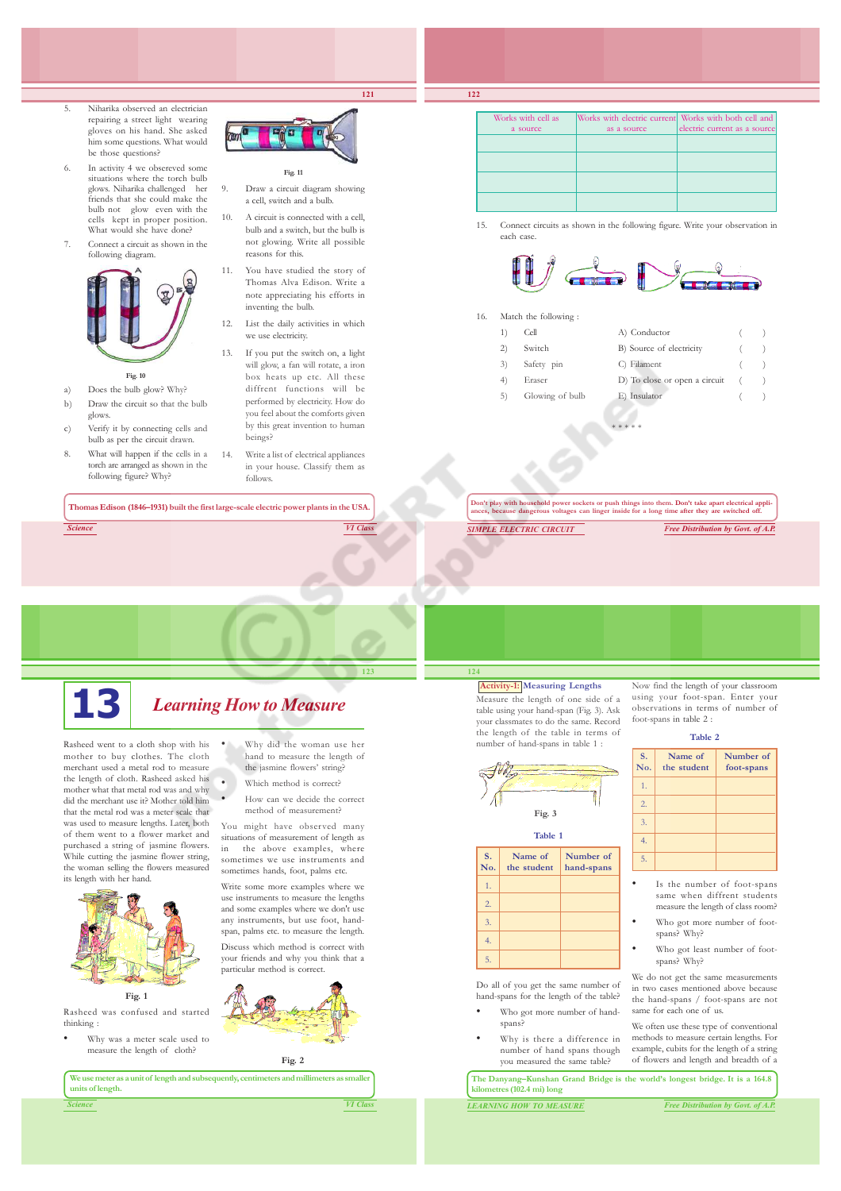**121**

- 5. Niharika observed an electrician repairing a street light wearing gloves on his hand. She asked him some questions. What would be those questions?
- 6. In activity 4 we obsereved some situations where the torch bulb glows. Niharika challenged her friends that she could make the bulb not glow even with the cells kept in proper position. What would she have done?
- Connect a circuit as shown in the following diagram.



#### **Fig. 10**

- a) Does the bulb glow? Why? b) Draw the circuit so that the bulb glows.
- c) Verify it by connecting cells and bulb as per the circuit drawn.
- 8. What will happen if the cells in a torch are arranged as shown in the following figure? Why?

**Fig. 11**

- Draw a circuit diagram showing a cell, switch and a bulb.
- 10. A circuit is connected with a cell, bulb and a switch, but the bulb is not glowing. Write all possible reasons for this.
- 11. You have studied the story of Thomas Alva Edison. Write a note appreciating his efforts in inventing the bulb.
- 12. List the daily activities in which we use electricity.
- 13. If you put the switch on, a light will glow, a fan will rotate, a iron box heats up etc. All these diffrent functions will be performed by electricity. How do you feel about the comforts given by this great invention to human beings?
- 14. Write a list of electrical appliances in your house. Classify them as follows.

**Thomas Edison (1846–1931) built the first large-scale electric power plants in the USA.**

*Science VI Class*



# **13** *Learning How to Measure*

Rasheed went to a cloth shop with his mother to buy clothes. The cloth merchant used a metal rod to measure the length of cloth. Rasheed asked his mother what that metal rod was and why did the merchant use it? Mother told him that the metal rod was a meter scale that was used to measure lengths. Later, both of them went to a flower market and purchased a string of jasmine flowers. While cutting the jasmine flower string, the woman selling the flowers measured its length with her hand.



**Fig. 1**

Rasheed was confused and started thinking :

• Why was a meter scale used to measure the length of cloth?

• How can we decide the correct method of measurement? You might have observed many situations of measurement of length as in the above examples, where sometimes we use instruments and

sometimes hands, foot, palms etc. Write some more examples where we use instruments to measure the lengths and some examples where we don't use any instruments, but use foot, handspan, palms etc. to measure the length.

• Why did the woman use her hand to measure the length of the jasmine flowers' string? Which method is correct?

Discuss which method is correct with your friends and why you think that a particular method is correct.



**Fig. 2**

**We use meter as a unit of length and subsequently, centimeters and millimeters as smaller units of length.**

| units of length. |  | _____ |                 |
|------------------|--|-------|-----------------|
| <b>Science</b>   |  |       | <b>VI Class</b> |

**123**

**124**

1. 2. 3. 4. 5.

| Works with cell as | Works with electric current Works with both cell and |                              |
|--------------------|------------------------------------------------------|------------------------------|
| a source           | as a source                                          | electric current as a source |
|                    |                                                      |                              |
|                    |                                                      |                              |
|                    |                                                      |                              |
|                    |                                                      |                              |

15. Connect circuits as shown in the following figure. Write your observation in each case.



16. Match the following :

**122**

| 1) | Cell            | A) Conductor                     |   |
|----|-----------------|----------------------------------|---|
| 2) | Switch          | B) Source of electricity         | ( |
|    | 3) Safety pin   | C) Filament                      | ( |
| 4) | Eraser          | D) To close or open a circuit () |   |
| 5) | Glowing of bulb | E) Insulator                     |   |

**Don't play with household power sockets or push things into them. Don't take apart electrical appli-ances, because dangerous voltages can linger inside for a long time after they are switched off.**

\* \* \* \* \*

*SIMPLE ELECTRIC CIRCUIT Free Distribution by Govt. of A.P.*

**Activity-1: Measuring Lengths** Measure the length of one side of a table using your hand-span (Fig. 3). Ask your classmates to do the same. Record

the length of the table in terms of number of hand-spans in table 1 :

**Table 1 S. Name of Number of No. the student hand-spans**

**Fig. 3**

Do all of you get the same number of hand-spans for the length of the table? Who got more number of hand-

> Why is there a difference in number of hand spans though you measured the same table?

spans?

Now find the length of your classroom using your foot-span. Enter your observations in terms of number of foot-spans in table 2 :

#### **Table 2**

| S.<br>No. | Name of<br>the student | Number of<br>foot-spans |
|-----------|------------------------|-------------------------|
| 1.        |                        |                         |
| 2.        |                        |                         |
| 3.        |                        |                         |
| 4.        |                        |                         |
| 5.        |                        |                         |

- Is the number of foot-spans same when diffrent students measure the length of class room?
- Who got more number of footspans? Why?
- Who got least number of footspans? Why?

We do not get the same measurements in two cases mentioned above because the hand-spans / foot-spans are not same for each one of us.

We often use these type of conventional methods to measure certain lengths. For example, cubits for the length of a string of flowers and length and breadth of a

**The Danyang–Kunshan Grand Bridge is the world's longest bridge. It is a 164.8 kilometres (102.4 mi) long**

*LEARNING HOW TO MEASURE Free Distribution by Govt. of A.P.*